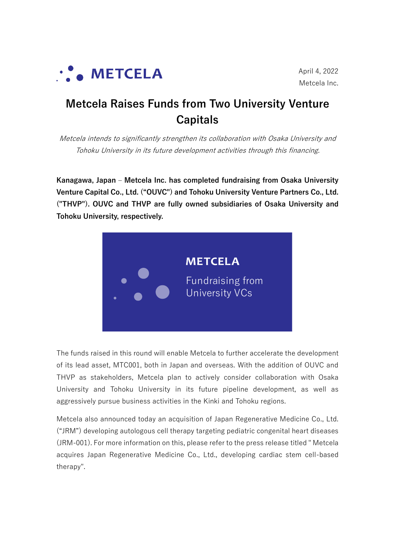

# **Metcela Raises Funds from Two University Venture Capitals**

Metcela intends to significantly strengthen its collaboration with Osaka University and Tohoku University in its future development activities through this financing.

**Kanagawa, Japan – Metcela Inc. has completed fundraising from Osaka University Venture Capital Co., Ltd. ("OUVC") and Tohoku University Venture Partners Co., Ltd. ("THVP"). OUVC and THVP are fully owned subsidiaries of Osaka University and Tohoku University, respectively.**



The funds raised in this round will enable Metcela to further accelerate the development of its lead asset, MTC001, both in Japan and overseas. With the addition of OUVC and THVP as stakeholders, Metcela plan to actively consider collaboration with Osaka University and Tohoku University in its future pipeline development, as well as aggressively pursue business activities in the Kinki and Tohoku regions.

Metcela also announced today an acquisition of Japan Regenerative Medicine Co., Ltd. ("JRM") developing autologous cell therapy targeting pediatric congenital heart diseases (JRM-001). For more information on this, please refer to the press release titled " Metcela acquires Japan Regenerative Medicine Co., Ltd., developing cardiac stem cell-based therapy".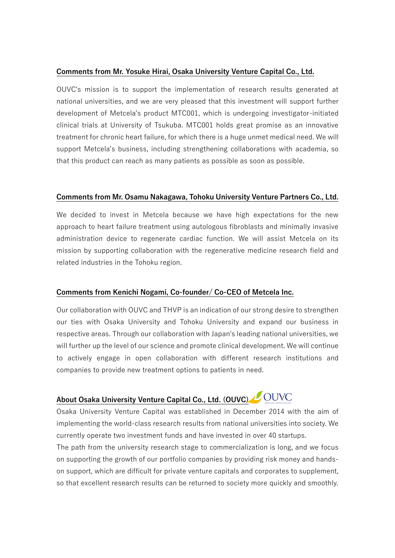#### **Comments from Mr. Yosuke Hirai, Osaka University Venture Capital Co., Ltd.**

OUVC's mission is to support the implementation of research results generated at national universities, and we are very pleased that this investment will support further development of Metcela's product MTC001, which is undergoing investigator-initiated clinical trials at University of Tsukuba. MTC001 holds great promise as an innovative treatment for chronic heart failure, for which there is a huge unmet medical need. We will support Metcela's business, including strengthening collaborations with academia, so that this product can reach as many patients as possible as soon as possible.

#### **Comments from Mr. Osamu Nakagawa, Tohoku University Venture Partners Co., Ltd.**

We decided to invest in Metcela because we have high expectations for the new approach to heart failure treatment using autologous fibroblasts and minimally invasive administration device to regenerate cardiac function. We will assist Metcela on its mission by supporting collaboration with the regenerative medicine research field and related industries in the Tohoku region.

#### **Comments from Kenichi Nogami, Co-founder/ Co-CEO of Metcela Inc.**

Our collaboration with OUVC and THVP is an indication of our strong desire to strengthen our ties with Osaka University and Tohoku University and expand our business in respective areas. Through our collaboration with Japan's leading national universities, we will further up the level of our science and promote clinical development. We will continue to actively engage in open collaboration with different research institutions and companies to provide new treatment options to patients in need.

# **About Osaka University Venture Capital Co., Ltd. (OUVC)**

Osaka University Venture Capital was established in December 2014 with the aim of implementing the world-class research results from national universities into society. We currently operate two investment funds and have invested in over 40 startups.

The path from the university research stage to commercialization is long, and we focus on supporting the growth of our portfolio companies by providing risk money and handson support, which are difficult for private venture capitals and corporates to supplement, so that excellent research results can be returned to society more quickly and smoothly.